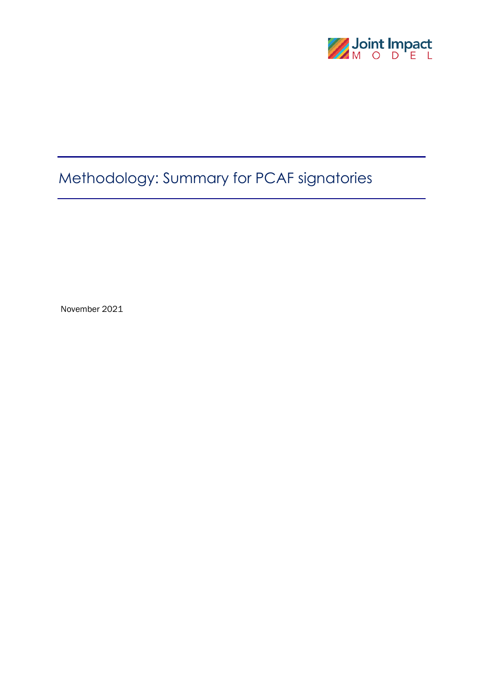

# Methodology: Summary for PCAF signatories

November 2021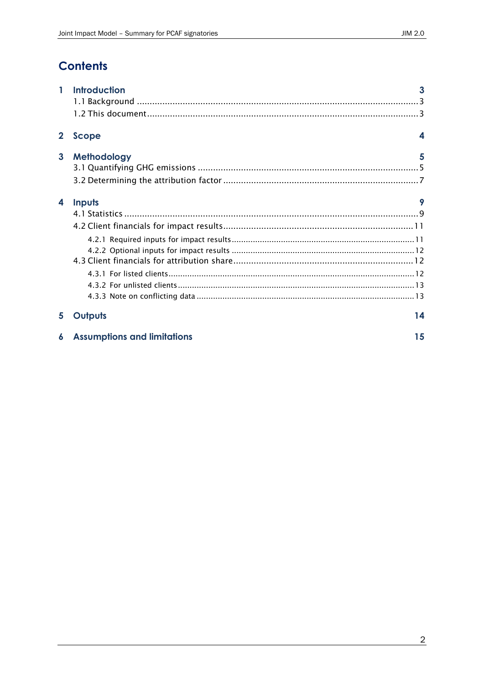## **Contents**

| 1            | <b>Introduction</b>                | 3  |
|--------------|------------------------------------|----|
|              |                                    |    |
|              |                                    |    |
| $\mathbf{2}$ | Scope                              | 4  |
| $\mathbf{3}$ | Methodology                        | 5  |
|              |                                    |    |
|              |                                    |    |
| 4            | Inputs                             | 9  |
|              |                                    |    |
|              |                                    |    |
|              |                                    |    |
|              |                                    |    |
|              |                                    |    |
|              |                                    |    |
|              |                                    |    |
|              |                                    |    |
| 5            | Outputs                            | 14 |
| 6            | <b>Assumptions and limitations</b> | 15 |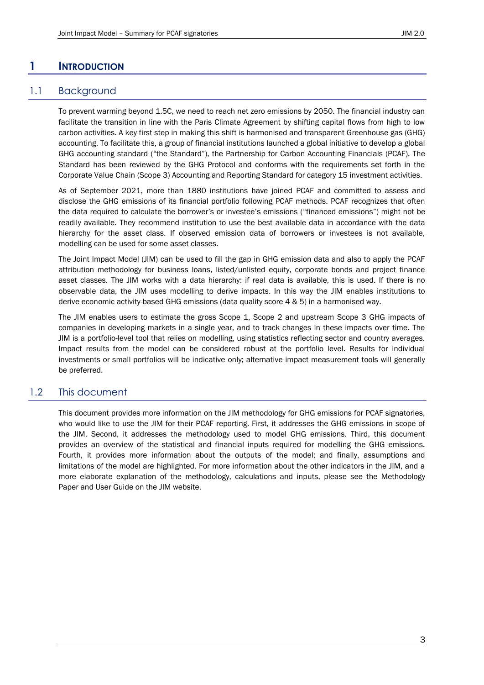## <span id="page-2-0"></span>**1 INTRODUCTION**

## 1.1 Background

<span id="page-2-1"></span>To prevent warming beyond 1.5C, we need to reach net zero emissions by 2050. The financial industry can facilitate the transition in line with the Paris Climate Agreement by shifting capital flows from high to low carbon activities. A key first step in making this shift is harmonised and transparent Greenhouse gas (GHG) accounting. To facilitate this, a group of financial institutions launched a global initiative to develop a global GHG accounting standard ("the Standard"), the Partnership for Carbon Accounting Financials (PCAF). The Standard has been reviewed by the GHG Protocol and conforms with the requirements set forth in the Corporate Value Chain (Scope 3) Accounting and Reporting Standard for category 15 investment activities.

As of September 2021, more than 1880 institutions have joined PCAF and committed to assess and disclose the GHG emissions of its financial portfolio following PCAF methods. PCAF recognizes that often the data required to calculate the borrower's or investee's emissions ("financed emissions") might not be readily available. They recommend institution to use the best available data in accordance with the data hierarchy for the asset class. If observed emission data of borrowers or investees is not available, modelling can be used for some asset classes.

The Joint Impact Model (JIM) can be used to fill the gap in GHG emission data and also to apply the PCAF attribution methodology for business loans, listed/unlisted equity, corporate bonds and project finance asset classes. The JIM works with a data hierarchy: if real data is available, this is used. If there is no observable data, the JIM uses modelling to derive impacts. In this way the JIM enables institutions to derive economic activity-based GHG emissions (data quality score 4 & 5) in a harmonised way.

The JIM enables users to estimate the gross Scope 1, Scope 2 and upstream Scope 3 GHG impacts of companies in developing markets in a single year, and to track changes in these impacts over time. The JIM is a portfolio-level tool that relies on modelling, using statistics reflecting sector and country averages. Impact results from the model can be considered robust at the portfolio level. Results for individual investments or small portfolios will be indicative only; alternative impact measurement tools will generally be preferred.

## <span id="page-2-2"></span>1.2 This document

This document provides more information on the JIM methodology for GHG emissions for PCAF signatories, who would like to use the JIM for their PCAF reporting. First, it addresses the GHG emissions in scope of the JIM. Second, it addresses the methodology used to model GHG emissions. Third, this document provides an overview of the statistical and financial inputs required for modelling the GHG emissions. Fourth, it provides more information about the outputs of the model; and finally, assumptions and limitations of the model are highlighted. For more information about the other indicators in the JIM, and a more elaborate explanation of the methodology, calculations and inputs, please see the Methodology Paper and User Guide on the JIM website.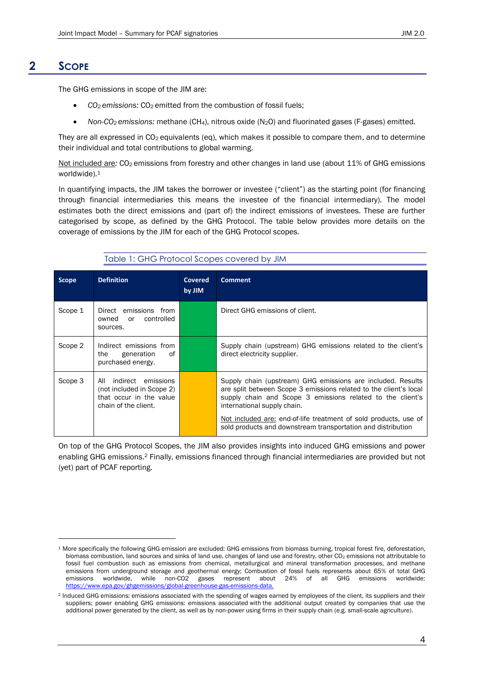## **2 SCOPE**

<span id="page-3-0"></span>The GHG emissions in scope of the JIM are:

- *CO2 emissions:* CO2 emitted from the combustion of fossil fuels;
- *Non-CO2 emissions:* methane (CH4), nitrous oxide (N2O) and fluorinated gases (F-gases) emitted*.*

They are all expressed in CO<sub>2</sub> equivalents (eq), which makes it possible to compare them, and to determine their individual and total contributions to global warming.

Not included are: CO<sub>2</sub> emissions from forestry and other changes in land use (about 11% of GHG emissions worldwide).<sup>1</sup>

In quantifying impacts, the JIM takes the borrower or investee ("client") as the starting point (for financing through financial intermediaries this means the investee of the financial intermediary). The model estimates both the direct emissions and (part of) the indirect emissions of investees. These are further categorised by scope, as defined by the GHG Protocol. The table below provides more details on the coverage of emissions by the JIM for each of the GHG Protocol scopes.

|--|

| <b>Scope</b> | <b>Definition</b>                                                                                         | Covered<br>by JIM | <b>Comment</b>                                                                                                                                                                                                                |
|--------------|-----------------------------------------------------------------------------------------------------------|-------------------|-------------------------------------------------------------------------------------------------------------------------------------------------------------------------------------------------------------------------------|
| Scope 1      | Direct emissions from<br>controlled<br>owned<br>or<br>sources.                                            |                   | Direct GHG emissions of client.                                                                                                                                                                                               |
| Scope 2      | Indirect emissions from<br>generation<br>0f<br>the<br>purchased energy.                                   |                   | Supply chain (upstream) GHG emissions related to the client's<br>direct electricity supplier.                                                                                                                                 |
| Scope 3      | indirect emissions<br>All<br>(not included in Scope 2)<br>that occur in the value<br>chain of the client. |                   | Supply chain (upstream) GHG emissions are included. Results<br>are split between Scope 3 emissions related to the client's local<br>supply chain and Scope 3 emissions related to the client's<br>international supply chain. |
|              |                                                                                                           |                   | Not included are: end-of-life treatment of sold products, use of<br>sold products and downstream transportation and distribution                                                                                              |

On top of the GHG Protocol Scopes, the JIM also provides insights into induced GHG emissions and power enabling GHG emissions.<sup>2</sup> Finally, emissions financed through financial intermediaries are provided but not (yet) part of PCAF reporting.

<sup>1</sup> More specifically the following GHG emission are excluded: GHG emissions from biomass burning, tropical forest fire, deforestation, biomass combustion, land sources and sinks of land use, changes of land use and forestry, other CO<sub>2</sub> emissions not attributable to fossil fuel combustion such as emissions from chemical, metallurgical and mineral transformation processes, and methane emissions from underground storage and geothermal energy; Combustion of fossil fuels represents about 65% of total GHG emissions worldwide, while non-CO2 gases represent about 24% of all GHG emissions worldwide: [https://www.epa.gov/ghgemissions/global-greenhouse-gas-emissions-data.](https://www.epa.gov/ghgemissions/global-greenhouse-gas-emissions-data)

<sup>&</sup>lt;sup>2</sup> Induced GHG emissions: emissions associated with the spending of wages earned by employees of the client, its suppliers and their suppliers; power enabling GHG emissions: emissions associated with the additional output created by companies that use the additional power generated by the client, as well as by non-power using firms in their supply chain (e.g. small-scale agriculture).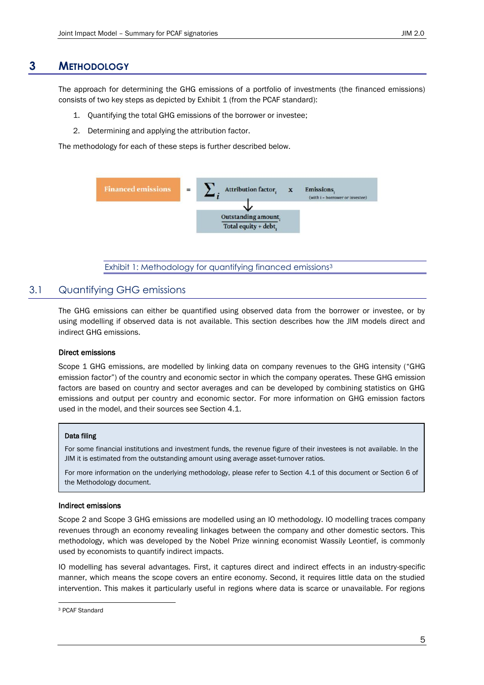## **3 METHODOLOGY**

<span id="page-4-0"></span>The approach for determining the GHG emissions of a portfolio of investments (the financed emissions) consists of two key steps as depicted by [Exhibit 1](#page-4-2) (from the PCAF standard):

- 1. Quantifying the total GHG emissions of the borrower or investee;
- 2. Determining and applying the attribution factor.

The methodology for each of these steps is further described below.



Exhibit 1: Methodology for quantifying financed emissions<sup>3</sup>

## <span id="page-4-2"></span><span id="page-4-1"></span>3.1 Quantifying GHG emissions

The GHG emissions can either be quantified using observed data from the borrower or investee, or by using modelling if observed data is not available. This section describes how the JIM models direct and indirect GHG emissions.

#### Direct emissions

Scope 1 GHG emissions, are modelled by linking data on company revenues to the GHG intensity ("GHG emission factor") of the country and economic sector in which the company operates. These GHG emission factors are based on country and sector averages and can be developed by combining statistics on GHG emissions and output per country and economic sector. For more information on GHG emission factors used in the model, and their sources see Section 4.1.

#### Data filing

For some financial institutions and investment funds, the revenue figure of their investees is not available. In the JIM it is estimated from the outstanding amount using average asset-turnover ratios.

For more information on the underlying methodology, please refer to Section [4.1](#page-8-1) of this document or Section 6 of the Methodology document.

#### Indirect emissions

Scope 2 and Scope 3 GHG emissions are modelled using an IO methodology. IO modelling traces company revenues through an economy revealing linkages between the company and other domestic sectors. This methodology, which was developed by the Nobel Prize winning economist Wassily Leontief, is commonly used by economists to quantify indirect impacts.

IO modelling has several advantages. First, it captures direct and indirect effects in an industry-specific manner, which means the scope covers an entire economy. Second, it requires little data on the studied intervention. This makes it particularly useful in regions where data is scarce or unavailable. For regions

<sup>3</sup> PCAF Standard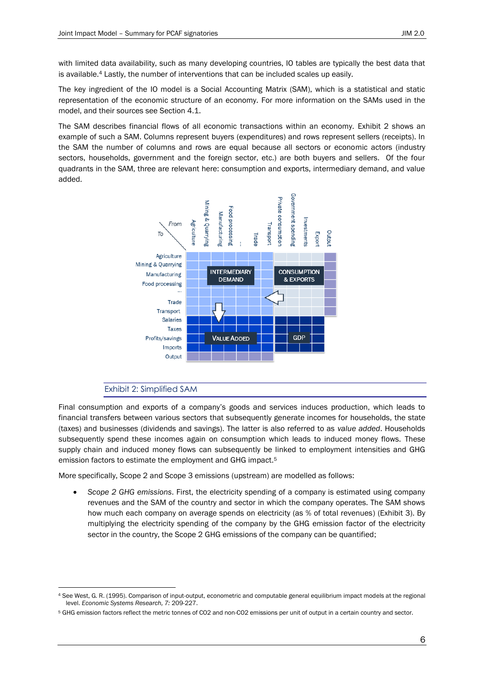with limited data availability, such as many developing countries, IO tables are typically the best data that is available.<sup>4</sup> Lastly, the number of interventions that can be included scales up easily.

The key ingredient of the IO model is a Social Accounting Matrix (SAM), which is a statistical and static representation of the economic structure of an economy. For more information on the SAMs used in the model, and their sources see Section 4.1.

The SAM describes financial flows of all economic transactions within an economy. [Exhibit 2](#page-5-0) shows an example of such a SAM. Columns represent buyers (expenditures) and rows represent sellers (receipts). In the SAM the number of columns and rows are equal because all sectors or economic actors (industry sectors, households, government and the foreign sector, etc.) are both buyers and sellers. Of the four quadrants in the SAM, three are relevant here: consumption and exports, intermediary demand, and value added.



## Exhibit 2: Simplified SAM

<span id="page-5-0"></span>Final consumption and exports of a company's goods and services induces production, which leads to financial transfers between various sectors that subsequently generate incomes for households, the state (taxes) and businesses (dividends and savings). The latter is also referred to as *value added*. Households subsequently spend these incomes again on consumption which leads to induced money flows. These supply chain and induced money flows can subsequently be linked to employment intensities and GHG emission factors to estimate the employment and GHG impact.<sup>5</sup>

More specifically, Scope 2 and Scope 3 emissions (upstream) are modelled as follows:

• *Scope 2 GHG emissions*. First, the electricity spending of a company is estimated using company revenues and the SAM of the country and sector in which the company operates. The SAM shows how much each company on average spends on electricity (as % of total revenues) [\(Exhibit 3\)](#page-6-1). By multiplying the electricity spending of the company by the GHG emission factor of the electricity sector in the country, the Scope 2 GHG emissions of the company can be quantified;

<sup>4</sup> See West, G. R. (1995). Comparison of input-output, econometric and computable general equilibrium impact models at the regional level. *Economic Systems Research, 7:* 209-227.

<sup>5</sup> GHG emission factors reflect the metric tonnes of CO2 and non-CO2 emissions per unit of output in a certain country and sector.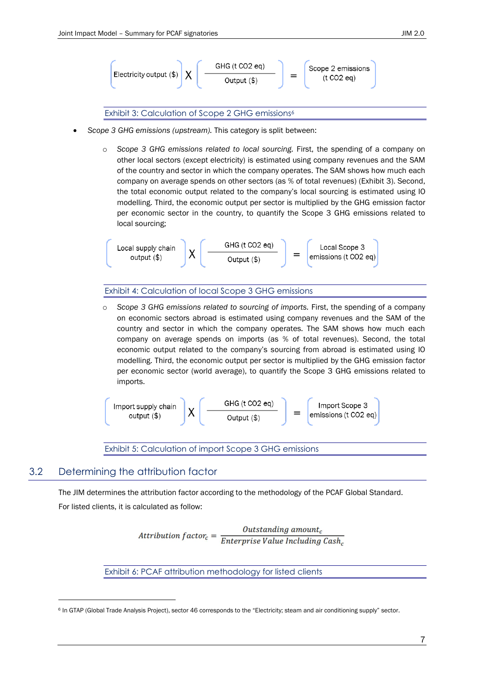

Exhibit 3: Calculation of Scope 2 GHG emissions<sup>6</sup>

- <span id="page-6-1"></span>• *Scope 3 GHG emissions (upstream).* This category is split between:
	- o *Scope 3 GHG emissions related to local sourcing.* First, the spending of a company on other local sectors (except electricity) is estimated using company revenues and the SAM of the country and sector in which the company operates. The SAM shows how much each company on average spends on other sectors (as % of total revenues) [\(Exhibit 3\)](#page-6-1). Second, the total economic output related to the company's local sourcing is estimated using IO modelling. Third, the economic output per sector is multiplied by the GHG emission factor per economic sector in the country, to quantify the Scope 3 GHG emissions related to local sourcing;

$$
\begin{array}{c}\n\text{Local supply chain} \\
\text{output ($)}\n\end{array}\n\quad\n\text{ } X \left( \begin{array}{c}\n\text{GHG (t CO2 eq)} \\
\text{Output ($}\n\end{array}\n\right)\n\quad\n=\n\begin{array}{c}\n\text{Local scope 3} \\
\text{emissions (t CO2 eq)}\n\end{array}
$$

#### Exhibit 4: Calculation of local Scope 3 GHG emissions

o *Scope 3 GHG emissions related to sourcing of imports.* First, the spending of a company on economic sectors abroad is estimated using company revenues and the SAM of the country and sector in which the company operates. The SAM shows how much each company on average spends on imports (as % of total revenues). Second, the total economic output related to the company's sourcing from abroad is estimated using IO modelling. Third, the economic output per sector is multiplied by the GHG emission factor per economic sector (world average), to quantify the Scope 3 GHG emissions related to imports.

$$
\begin{bmatrix} \text{Import supply chain} \\ \text{output ($}\text{)} \end{bmatrix} X \begin{bmatrix} \text{GHG (t CO2 eq)} \\ \text{Output ($}\text{)} \end{bmatrix} = \begin{bmatrix} \text{Import Score 3} \\ \text{emissions (t CO2 eq)} \end{bmatrix}
$$

Exhibit 5: Calculation of import Scope 3 GHG emissions

## <span id="page-6-0"></span>3.2 Determining the attribution factor

The JIM determines the attribution factor according to the methodology of the PCAF Global Standard.

For listed clients, it is calculated as follow:

Attribution  $factor_c = \frac{Outside \n $l = \frac{1}{\text{Interprise Value Including Cash}_c}$$ 

Exhibit 6: PCAF attribution methodology for listed clients

<sup>6</sup> In GTAP (Global Trade Analysis Project), sector 46 corresponds to the "Electricity; steam and air conditioning supply" sector.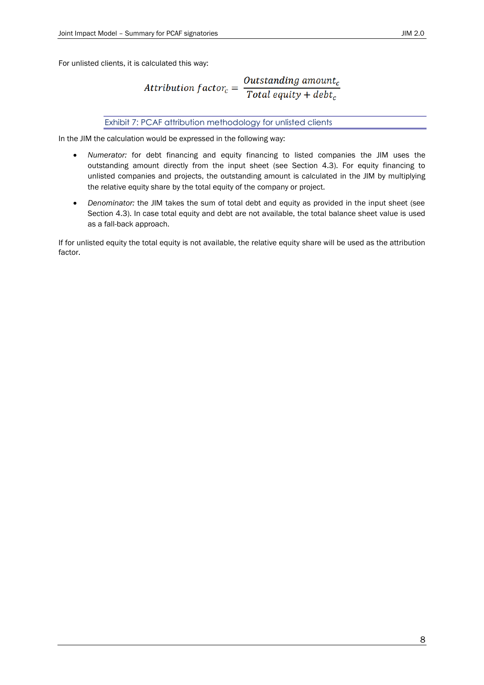For unlisted clients, it is calculated this way:

Attribution  $factor_c = \frac{Outside_{\text{total}}}{Total\text{ }equity + debt_c}$ 

#### Exhibit 7: PCAF attribution methodology for unlisted clients

In the JIM the calculation would be expressed in the following way:

- *Numerator:* for debt financing and equity financing to listed companies the JIM uses the outstanding amount directly from the input sheet (see Section [4.3\)](#page-11-1). For equity financing to unlisted companies and projects, the outstanding amount is calculated in the JIM by multiplying the relative equity share by the total equity of the company or project.
- *Denominator:* the JIM takes the sum of total debt and equity as provided in the input sheet (see Section [4.3\)](#page-11-1). In case total equity and debt are not available, the total balance sheet value is used as a fall-back approach.

If for unlisted equity the total equity is not available, the relative equity share will be used as the attribution factor.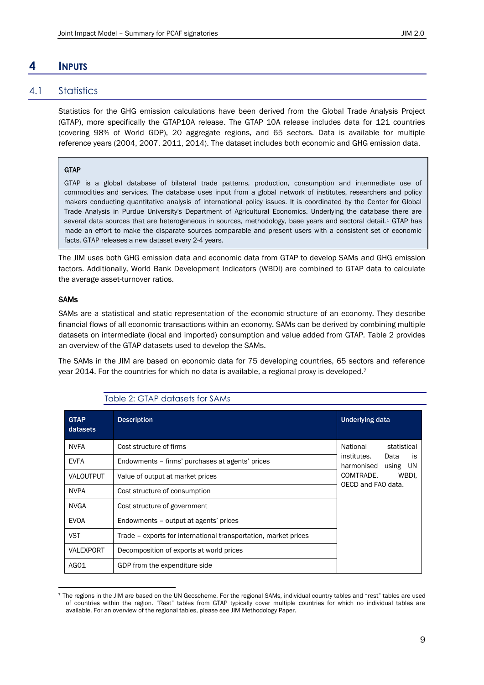## <span id="page-8-0"></span>**4 INPUTS**

## 4.1 Statistics

<span id="page-8-1"></span>Statistics for the GHG emission calculations have been derived from the Global Trade Analysis Project (GTAP), more specifically the GTAP10A release. The GTAP 10A release includes data for 121 countries (covering 98% of World GDP), 20 aggregate regions, and 65 sectors. Data is available for multiple reference years (2004, 2007, 2011, 2014). The dataset includes both economic and GHG emission data.

#### **GTAP**

GTAP is a global database of bilateral trade patterns, production, consumption and intermediate use of commodities and services. The database uses input from a global network of institutes, researchers and policy makers conducting quantitative analysis of international policy issues. It is coordinated by the Center for Global Trade Analysis in Purdue University's Department of Agricultural Economics. Underlying the database there are several data sources that are heterogeneous in sources, methodology, base years and sectoral detail.<sup>1</sup> GTAP has made an effort to make the disparate sources comparable and present users with a consistent set of economic facts. GTAP releases a new dataset every 2-4 years.

The JIM uses both GHG emission data and economic data from GTAP to develop SAMs and GHG emission factors. Additionally, World Bank Development Indicators (WBDI) are combined to GTAP data to calculate the average asset-turnover ratios.

#### SAMs

SAMs are a statistical and static representation of the economic structure of an economy. They describe financial flows of all economic transactions within an economy. SAMs can be derived by combining multiple datasets on intermediate (local and imported) consumption and value added from GTAP. [Table 2](#page-8-2) provides an overview of the GTAP datasets used to develop the SAMs.

<span id="page-8-2"></span>The SAMs in the JIM are based on economic data for 75 developing countries, 65 sectors and reference year 2014. For the countries for which no data is available, a regional proxy is developed.<sup>7</sup>

| <b>GTAP</b><br>datasets | <b>Description</b>                                              | <b>Underlying data</b>                                        |
|-------------------------|-----------------------------------------------------------------|---------------------------------------------------------------|
| <b>NVFA</b>             | Cost structure of firms                                         | National<br>statistical                                       |
| <b>EVFA</b>             | Endowments - firms' purchases at agents' prices                 | institutes.<br>Data<br><b>is</b><br>harmonised<br>using<br>UN |
| VALOUTPUT               | Value of output at market prices                                | COMTRADE.<br>WBDI.                                            |
| <b>NVPA</b>             | Cost structure of consumption                                   | OECD and FAO data.                                            |
| <b>NVGA</b>             | Cost structure of government                                    |                                                               |
| <b>EVOA</b>             | Endowments - output at agents' prices                           |                                                               |
| <b>VST</b>              | Trade – exports for international transportation, market prices |                                                               |
| VALEXPORT               | Decomposition of exports at world prices                        |                                                               |
| AGO1                    | GDP from the expenditure side                                   |                                                               |

#### Table 2: GTAP datasets for SAMs

<sup>7</sup> The regions in the JIM are based on the UN Geoscheme. For the regional SAMs, individual country tables and "rest" tables are used of countries within the region. "Rest" tables from GTAP typically cover multiple countries for which no individual tables are available. For an overview of the regional tables, please see JIM Methodology Paper.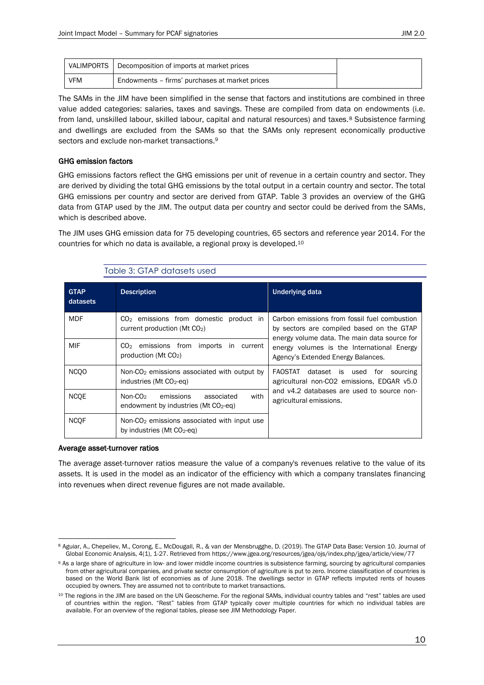Table 3: GTAP datasets used

|            | VALIMPORTS   Decomposition of imports at market prices |
|------------|--------------------------------------------------------|
| <b>VFM</b> | Endowments - firms' purchases at market prices         |

The SAMs in the JIM have been simplified in the sense that factors and institutions are combined in three value added categories: salaries, taxes and savings. These are compiled from data on endowments (i.e. from land, unskilled labour, skilled labour, capital and natural resources) and taxes.<sup>8</sup> Subsistence farming and dwellings are excluded from the SAMs so that the SAMs only represent economically productive sectors and exclude non-market transactions.<sup>9</sup>

#### GHG emission factors

GHG emissions factors reflect the GHG emissions per unit of revenue in a certain country and sector. They are derived by dividing the total GHG emissions by the total output in a certain country and sector. The total GHG emissions per country and sector are derived from GTAP. [Table 3](#page-9-0) provides an overview of the GHG data from GTAP used by the JIM. The output data per country and sector could be derived from the SAMs, which is described above.

The JIM uses GHG emission data for 75 developing countries, 65 sectors and reference year 2014. For the countries for which no data is available, a regional proxy is developed. 10

<span id="page-9-0"></span>

| <b>GTAP</b><br>datasets | <b>Description</b>                                                                      | <b>Underlying data</b>                                                                                                                                      |  |
|-------------------------|-----------------------------------------------------------------------------------------|-------------------------------------------------------------------------------------------------------------------------------------------------------------|--|
| <b>MDF</b>              | $CO2$ emissions from domestic product in<br>current production ( $Mt$ $CO2$ )           | Carbon emissions from fossil fuel combustion<br>by sectors are compiled based on the GTAP<br>energy volume data. The main data source for                   |  |
| MIF                     | $CO2$ emissions from<br>imports in current<br>production (Mt $CO2$ )                    | energy volumes is the International Energy<br>Agency's Extended Energy Balances.                                                                            |  |
| NCO <sub>O</sub>        | Non- $CO2$ emissions associated with output by<br>industries (Mt $CO2$ -eq)             | FAOSTAT dataset is used for sourcing<br>agricultural non-CO2 emissions, EDGAR v5.0<br>and v4.2 databases are used to source non-<br>agricultural emissions. |  |
| <b>NCOE</b>             | Non- $CO2$<br>with<br>emissions<br>associated<br>endowment by industries (Mt $CO2$ -eg) |                                                                                                                                                             |  |
| <b>NCOF</b>             | Non-CO <sub>2</sub> emissions associated with input use<br>by industries (Mt $CO2$ -eq) |                                                                                                                                                             |  |

#### Average asset-turnover ratios

The average asset-turnover ratios measure the value of a company's revenues relative to the value of its assets. It is used in the model as an indicator of the efficiency with which a company translates financing into revenues when direct revenue figures are not made available.

<sup>8</sup> Aguiar, A., Chepeliev, M., Corong, E., McDougall, R., & van der Mensbrugghe, D. (2019). The GTAP Data Base: Version 10. Journal of Global Economic Analysis, 4(1), 1-27. Retrieved from https://www.jgea.org/resources/jgea/ojs/index.php/jgea/article/view/77

<sup>9</sup> As a large share of agriculture in low- and lower middle income countries is subsistence farming, sourcing by agricultural companies from other agricultural companies, and private sector consumption of agriculture is put to zero. Income classification of countries is based on the World Bank list of economies as of June 2018. The dwellings sector in GTAP reflects imputed rents of houses occupied by owners. They are assumed not to contribute to market transactions.

<sup>10</sup> The regions in the JIM are based on the UN Geoscheme. For the regional SAMs, individual country tables and "rest" tables are used of countries within the region. "Rest" tables from GTAP typically cover multiple countries for which no individual tables are available. For an overview of the regional tables, please see JIM Methodology Paper.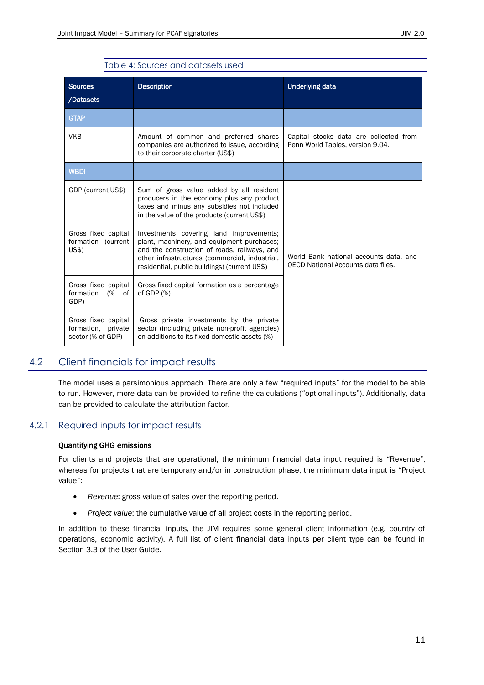| <b>Sources</b><br>/Datasets                                    | <b>Description</b>                                                                                                                                                                                                                       | <b>Underlying data</b>                                                       |  |
|----------------------------------------------------------------|------------------------------------------------------------------------------------------------------------------------------------------------------------------------------------------------------------------------------------------|------------------------------------------------------------------------------|--|
| <b>GTAP</b>                                                    |                                                                                                                                                                                                                                          |                                                                              |  |
| <b>VKB</b>                                                     | Amount of common and preferred shares<br>companies are authorized to issue, according<br>to their corporate charter (US\$)                                                                                                               | Capital stocks data are collected from<br>Penn World Tables, version 9.04.   |  |
| <b>WBDI</b>                                                    |                                                                                                                                                                                                                                          |                                                                              |  |
| GDP (current US\$)                                             | Sum of gross value added by all resident<br>producers in the economy plus any product<br>taxes and minus any subsidies not included<br>in the value of the products (current US\$)                                                       |                                                                              |  |
| Gross fixed capital<br>formation (current<br>US\$)             | Investments covering land improvements;<br>plant, machinery, and equipment purchases;<br>and the construction of roads, railways, and<br>other infrastructures (commercial, industrial,<br>residential, public buildings) (current US\$) | World Bank national accounts data, and<br>OECD National Accounts data files. |  |
| Gross fixed capital<br>formation<br>(% of<br>GDP)              | Gross fixed capital formation as a percentage<br>of GDP $(%)$                                                                                                                                                                            |                                                                              |  |
| Gross fixed capital<br>formation, private<br>sector (% of GDP) | Gross private investments by the private<br>sector (including private non-profit agencies)<br>on additions to its fixed domestic assets (%)                                                                                              |                                                                              |  |

#### Table 4: Sources and datasets used

## <span id="page-10-0"></span>4.2 Client financials for impact results

The model uses a parsimonious approach. There are only a few "required inputs" for the model to be able to run. However, more data can be provided to refine the calculations ("optional inputs"). Additionally, data can be provided to calculate the attribution factor.

## 4.2.1 Required inputs for impact results

#### <span id="page-10-1"></span>Quantifying GHG emissions

For clients and projects that are operational, the minimum financial data input required is "Revenue", whereas for projects that are temporary and/or in construction phase, the minimum data input is "Project value":

- *Revenue*: gross value of sales over the reporting period.
- *Project value*: the cumulative value of all project costs in the reporting period.

In addition to these financial inputs, the JIM requires some general client information (e.g. country of operations, economic activity). A full list of client financial data inputs per client type can be found in Section 3.3 of the User Guide.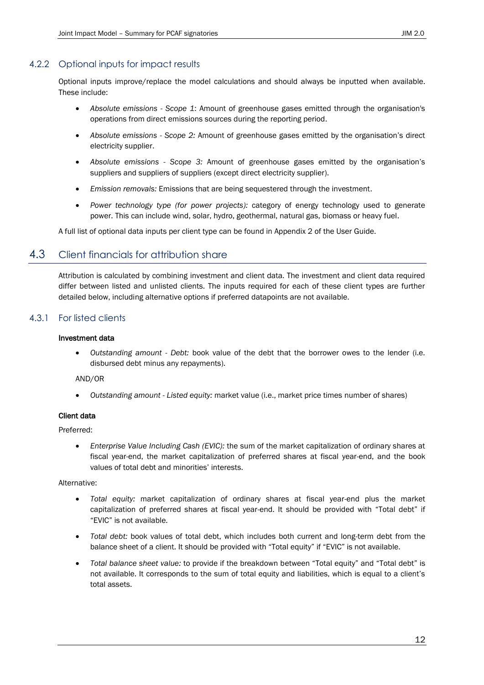## 4.2.2 Optional inputs for impact results

<span id="page-11-0"></span>Optional inputs improve/replace the model calculations and should always be inputted when available. These include:

- *Absolute emissions - Scope 1*: Amount of greenhouse gases emitted through the organisation's operations from direct emissions sources during the reporting period.
- *Absolute emissions - Scope 2:* Amount of greenhouse gases emitted by the organisation's direct electricity supplier.
- *Absolute emissions - Scope 3:* Amount of greenhouse gases emitted by the organisation's suppliers and suppliers of suppliers (except direct electricity supplier).
- *Emission removals:* Emissions that are being sequestered through the investment.
- *Power technology type (for power projects):* category of energy technology used to generate power. This can include wind, solar, hydro, geothermal, natural gas, biomass or heavy fuel.

<span id="page-11-1"></span>A full list of optional data inputs per client type can be found in Appendix 2 of the User Guide.

## 4.3 Client financials for attribution share

Attribution is calculated by combining investment and client data. The investment and client data required differ between listed and unlisted clients. The inputs required for each of these client types are further detailed below, including alternative options if preferred datapoints are not available.

## 4.3.1 For listed clients

#### <span id="page-11-2"></span>Investment data

• *Outstanding amount - Debt:* book value of the debt that the borrower owes to the lender (i.e. disbursed debt minus any repayments).

AND/OR

• *Outstanding amount - Listed equity:* market value (i.e., market price times number of shares)

#### Client data

Preferred:

• *Enterprise Value Including Cash (EVIC):* the sum of the market capitalization of ordinary shares at fiscal year-end, the market capitalization of preferred shares at fiscal year-end, and the book values of total debt and minorities' interests.

Alternative:

- *Total equity:* market capitalization of ordinary shares at fiscal year-end plus the market capitalization of preferred shares at fiscal year-end. It should be provided with "Total debt" if "EVIC" is not available.
- *Total debt:* book values of total debt, which includes both current and long-term debt from the balance sheet of a client. It should be provided with "Total equity" if "EVIC" is not available.
- *Total balance sheet value:* to provide if the breakdown between "Total equity" and "Total debt" is not available. It corresponds to the sum of total equity and liabilities, which is equal to a client's total assets.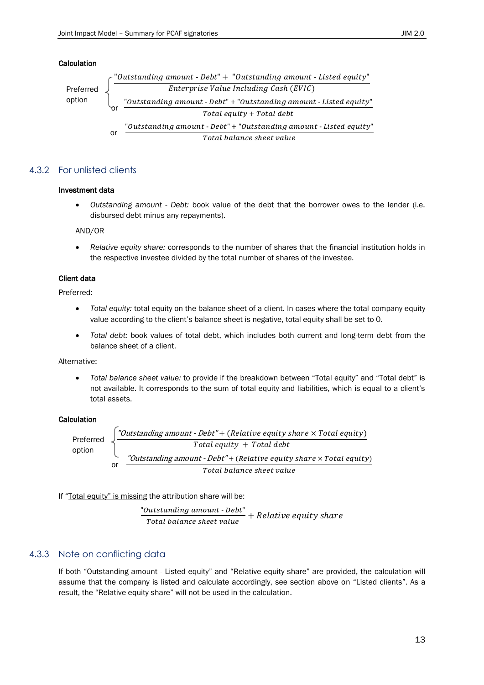#### Calculation



#### 4.3.2 For unlisted clients

#### <span id="page-12-0"></span>Investment data

• *Outstanding amount - Debt:* book value of the debt that the borrower owes to the lender (i.e. disbursed debt minus any repayments).

AND/OR

• *Relative equity share:* corresponds to the number of shares that the financial institution holds in the respective investee divided by the total number of shares of the investee.

#### Client data

Preferred:

- *Total equity:* total equity on the balance sheet of a client. In cases where the total company equity value according to the client's balance sheet is negative, total equity shall be set to 0.
- *Total debt:* book values of total debt, which includes both current and long-term debt from the balance sheet of a client.

#### Alternative:

• *Total balance sheet value:* to provide if the breakdown between "Total equity" and "Total debt" is not available. It corresponds to the sum of total equity and liabilities, which is equal to a client's total assets.

#### **Calculation**

"Outstanding amount - Debt" + (Relative equity share  $\times$  Total equity)  $Total$  equity + Total debt or "Outstanding amount - Debt" + (Relative equity share  $\times$  Total equity) Total balance sheet value Preferred option

If "Total equity" is missing the attribution share will be:

"Outstanding amount - Debt"  $\frac{1}{\pi}$  and  $\frac{1}{\pi}$  is the state best  $\frac{1}{\pi}$  + Relative equity share

## 4.3.3 Note on conflicting data

<span id="page-12-1"></span>If both "Outstanding amount - Listed equity" and "Relative equity share" are provided, the calculation will assume that the company is listed and calculate accordingly, see section above on "Listed clients". As a result, the "Relative equity share" will not be used in the calculation.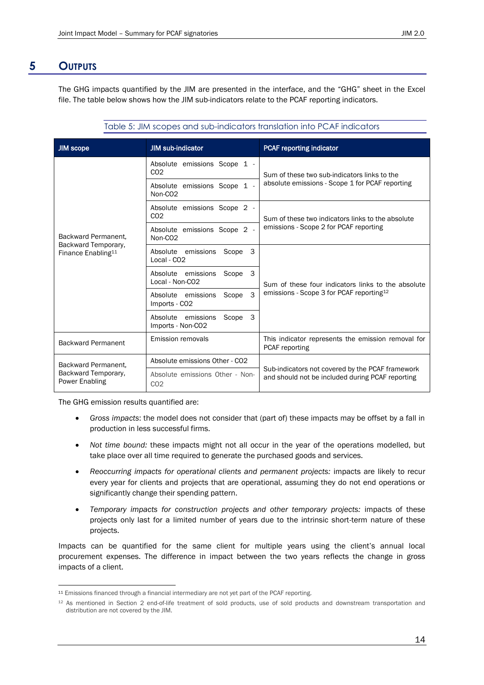## **5 OUTPUTS**

<span id="page-13-0"></span>The GHG impacts quantified by the JIM are presented in the interface, and the "GHG" sheet in the Excel file. The table below shows how the JIM sub-indicators relate to the PCAF reporting indicators.

Table 5: JIM scopes and sub-indicators translation into PCAF indicators

| <b>JIM scope</b>                                      | <b>JIM sub-indicator</b>                                       | <b>PCAF reporting indicator</b>                                                                            |  |
|-------------------------------------------------------|----------------------------------------------------------------|------------------------------------------------------------------------------------------------------------|--|
|                                                       | Absolute emissions Scope 1 -<br>CO <sub>2</sub>                | Sum of these two sub-indicators links to the<br>absolute emissions - Scope 1 for PCAF reporting            |  |
|                                                       | Absolute emissions Scope 1 -<br>Non-CO <sub>2</sub>            |                                                                                                            |  |
|                                                       | Absolute emissions Scope 2 -<br>CO <sub>2</sub>                | Sum of these two indicators links to the absolute                                                          |  |
| Backward Permanent.                                   | Absolute emissions Scope 2 -<br>Non-CO <sub>2</sub>            | emissions - Scope 2 for PCAF reporting                                                                     |  |
| Backward Temporary,<br>Finance Enabling <sup>11</sup> | 3<br>Absolute<br>emissions<br>Scope<br>Local - CO <sub>2</sub> | Sum of these four indicators links to the absolute<br>emissions - Scope 3 for PCAF reporting <sup>12</sup> |  |
|                                                       | 3<br>Absolute emissions<br>Scope<br>Local - Non-CO2            |                                                                                                            |  |
|                                                       | 3<br>Scope<br>Absolute emissions<br>Imports - CO <sub>2</sub>  |                                                                                                            |  |
|                                                       | 3<br>Absolute emissions<br>Scope<br>Imports - Non-CO2          |                                                                                                            |  |
| <b>Backward Permanent</b>                             | Emission removals                                              | This indicator represents the emission removal for<br>PCAF reporting                                       |  |
| Backward Permanent.                                   | Absolute emissions Other - CO2                                 | Sub-indicators not covered by the PCAF framework<br>and should not be included during PCAF reporting       |  |
| Backward Temporary,<br>Power Enabling                 | Absolute emissions Other - Non-<br>CO <sub>2</sub>             |                                                                                                            |  |

The GHG emission results quantified are:

- *Gross impacts*: the model does not consider that (part of) these impacts may be offset by a fall in production in less successful firms.
- *Not time bound:* these impacts might not all occur in the year of the operations modelled, but take place over all time required to generate the purchased goods and services.
- *Reoccurring impacts for operational clients and permanent projects:* impacts are likely to recur every year for clients and projects that are operational, assuming they do not end operations or significantly change their spending pattern.
- *Temporary impacts for construction projects and other temporary projects:* impacts of these projects only last for a limited number of years due to the intrinsic short-term nature of these projects.

Impacts can be quantified for the same client for multiple years using the client's annual local procurement expenses. The difference in impact between the two years reflects the change in gross impacts of a client.

<sup>11</sup> Emissions financed through a financial intermediary are not yet part of the PCAF reporting.

<sup>12</sup> As mentioned in Section [2](#page-3-0) end-of-life treatment of sold products, use of sold products and downstream transportation and distribution are not covered by the JIM.